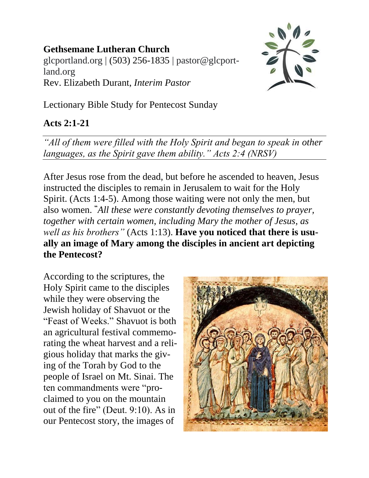## **Gethsemane Lutheran Church**

glcportland.org | (503) 256-1835 | pastor@glcportland.org Rev. Elizabeth Durant, *Interim Pastor*



Lectionary Bible Study for Pentecost Sunday

## **Acts 2:1-21**

*"All of them were filled with the Holy Spirit and began to speak in other languages, as the Spirit gave them ability." Acts 2:4 (NRSV)*

After Jesus rose from the dead, but before he ascended to heaven, Jesus instructed the disciples to remain in Jerusalem to wait for the Holy Spirit. (Acts 1:4-5). Among those waiting were not only the men, but also women. **"***All these were constantly devoting themselves to prayer, together with certain women, including Mary the mother of Jesus, as well as his brothers"* (Acts 1:13). **Have you noticed that there is usually an image of Mary among the disciples in ancient art depicting the Pentecost?**

According to the scriptures, the Holy Spirit came to the disciples while they were observing the Jewish holiday of Shavuot or the "Feast of Weeks." Shavuot is both an agricultural festival commemorating the wheat harvest and a religious holiday that marks the giving of the Torah by God to the people of Israel on Mt. Sinai. The ten commandments were "proclaimed to you on the mountain out of the fire" (Deut. 9:10). As in our Pentecost story, the images of

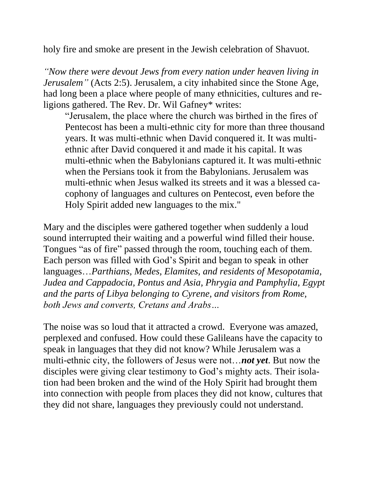holy fire and smoke are present in the Jewish celebration of Shavuot.

*"Now there were devout Jews from every nation under heaven living in Jerusalem"* (Acts 2:5). Jerusalem, a city inhabited since the Stone Age, had long been a place where people of many ethnicities, cultures and religions gathered. The Rev. Dr. Wil Gafney\* writes:

"Jerusalem, the place where the church was birthed in the fires of Pentecost has been a multi-ethnic city for more than three thousand years. It was multi-ethnic when David conquered it. It was multiethnic after David conquered it and made it his capital. It was multi-ethnic when the Babylonians captured it. It was multi-ethnic when the Persians took it from the Babylonians. Jerusalem was multi-ethnic when Jesus walked its streets and it was a blessed cacophony of languages and cultures on Pentecost, even before the Holy Spirit added new languages to the mix."

Mary and the disciples were gathered together when suddenly a loud sound interrupted their waiting and a powerful wind filled their house. Tongues "as of fire" passed through the room, touching each of them. Each person was filled with God's Spirit and began to speak in other languages…*Parthians, Medes, Elamites, and residents of Mesopotamia, Judea and Cappadocia, Pontus and Asia, Phrygia and Pamphylia, Egypt and the parts of Libya belonging to Cyrene, and visitors from Rome, both Jews and converts, Cretans and Arabs…*

The noise was so loud that it attracted a crowd. Everyone was amazed, perplexed and confused. How could these Galileans have the capacity to speak in languages that they did not know? While Jerusalem was a multi-ethnic city, the followers of Jesus were not…*not yet*. But now the disciples were giving clear testimony to God's mighty acts. Their isolation had been broken and the wind of the Holy Spirit had brought them into connection with people from places they did not know, cultures that they did not share, languages they previously could not understand.